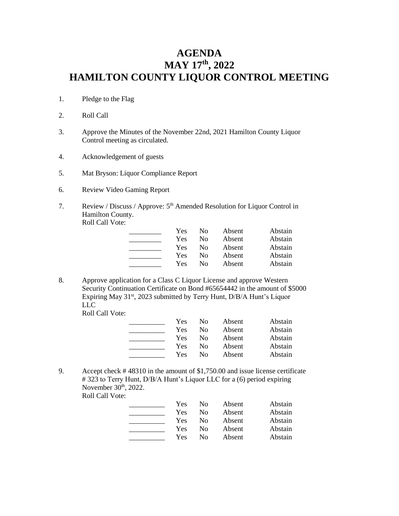## **AGENDA MAY 17 th, 2022 HAMILTON COUNTY LIQUOR CONTROL MEETING**

- 1. Pledge to the Flag
- 2. Roll Call
- 3. Approve the Minutes of the November 22nd, 2021 Hamilton County Liquor Control meeting as circulated.
- 4. Acknowledgement of guests
- 5. Mat Bryson: Liquor Compliance Report
- 6. Review Video Gaming Report
- 7. Review / Discuss / Approve: 5<sup>th</sup> Amended Resolution for Liquor Control in Hamilton County. Roll Call Vote:

| Yes | Nο | Absent | Abstain |
|-----|----|--------|---------|
| Yes | Nο | Absent | Abstain |
| Yes | Nο | Absent | Abstain |
| Yes | Nο | Absent | Abstain |
| Yes | Nο | Absent | Abstain |

8. Approve application for a Class C Liquor License and approve Western Security Continuation Certificate on Bond #65654442 in the amount of \$5000 Expiring May 31<sup>st</sup>, 2023 submitted by Terry Hunt, D/B/A Hunt's Liquor LLC

Roll Call Vote:

| <b>Yes</b> | Nο | Absent | Abstain |
|------------|----|--------|---------|
| Yes        | Nο | Absent | Abstain |
| Yes        | Nο | Absent | Abstain |
| Yes        | Nο | Absent | Abstain |
| Yes        | Nο | Absent | Abstain |

9. Accept check # 48310 in the amount of \$1,750.00 and issue license certificate # 323 to Terry Hunt, D/B/A Hunt's Liquor LLC for a (6) period expiring November 30<sup>th</sup>, 2022.

Roll Call Vote:

| Yes | Nο | Absent | Abstain |
|-----|----|--------|---------|
| Yes | Nο | Absent | Abstain |
| Yes | Nο | Absent | Abstain |
| Yes | Nο | Absent | Abstain |
| Yes | Nο | Absent | Abstain |